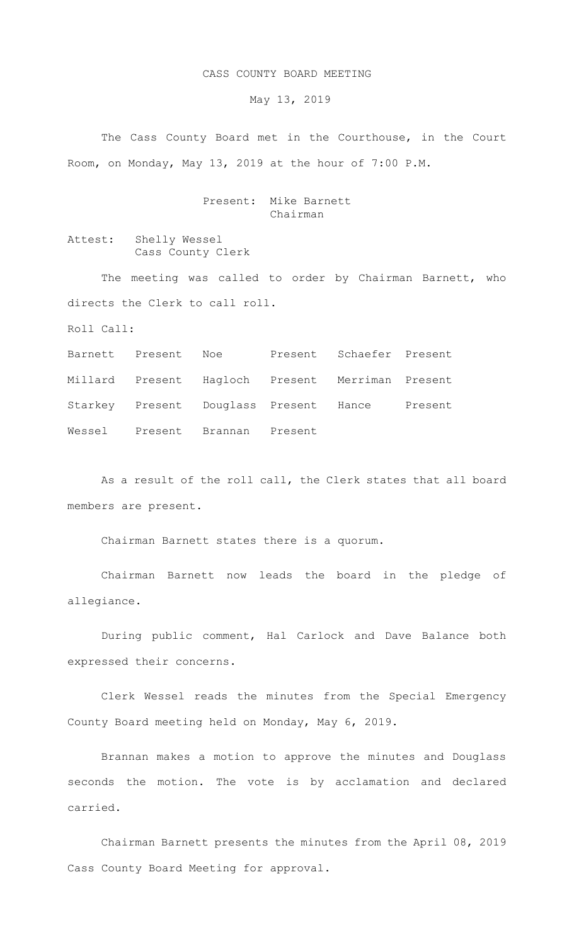## CASS COUNTY BOARD MEETING

May 13, 2019

The Cass County Board met in the Courthouse, in the Court Room, on Monday, May 13, 2019 at the hour of 7:00 P.M.

## Present: Mike Barnett Chairman

Attest: Shelly Wessel Cass County Clerk

The meeting was called to order by Chairman Barnett, who directs the Clerk to call roll.

Roll Call:

Barnett Present Noe Present Schaefer Present Millard Present Hagloch Present Merriman Present Starkey Present Douglass Present Hance Present Wessel Present Brannan Present

As a result of the roll call, the Clerk states that all board members are present.

Chairman Barnett states there is a quorum.

Chairman Barnett now leads the board in the pledge of allegiance.

During public comment, Hal Carlock and Dave Balance both expressed their concerns.

Clerk Wessel reads the minutes from the Special Emergency County Board meeting held on Monday, May 6, 2019.

Brannan makes a motion to approve the minutes and Douglass seconds the motion. The vote is by acclamation and declared carried.

Chairman Barnett presents the minutes from the April 08, 2019 Cass County Board Meeting for approval.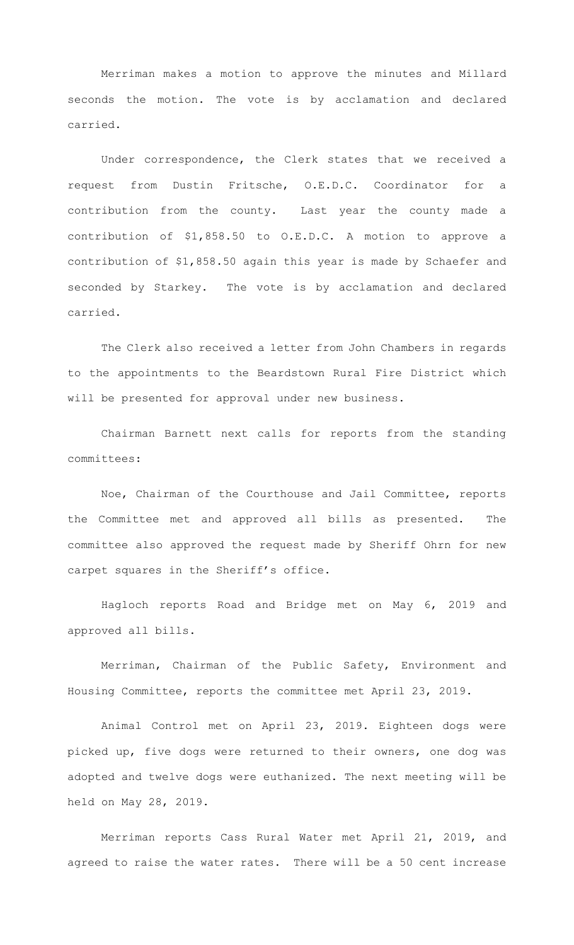Merriman makes a motion to approve the minutes and Millard seconds the motion. The vote is by acclamation and declared carried.

Under correspondence, the Clerk states that we received a request from Dustin Fritsche, O.E.D.C. Coordinator for a contribution from the county. Last year the county made a contribution of \$1,858.50 to O.E.D.C. A motion to approve a contribution of \$1,858.50 again this year is made by Schaefer and seconded by Starkey. The vote is by acclamation and declared carried.

The Clerk also received a letter from John Chambers in regards to the appointments to the Beardstown Rural Fire District which will be presented for approval under new business.

 Chairman Barnett next calls for reports from the standing committees:

Noe, Chairman of the Courthouse and Jail Committee, reports the Committee met and approved all bills as presented. The committee also approved the request made by Sheriff Ohrn for new carpet squares in the Sheriff's office.

Hagloch reports Road and Bridge met on May 6, 2019 and approved all bills.

 Merriman, Chairman of the Public Safety, Environment and Housing Committee, reports the committee met April 23, 2019.

Animal Control met on April 23, 2019. Eighteen dogs were picked up, five dogs were returned to their owners, one dog was adopted and twelve dogs were euthanized. The next meeting will be held on May 28, 2019.

Merriman reports Cass Rural Water met April 21, 2019, and agreed to raise the water rates. There will be a 50 cent increase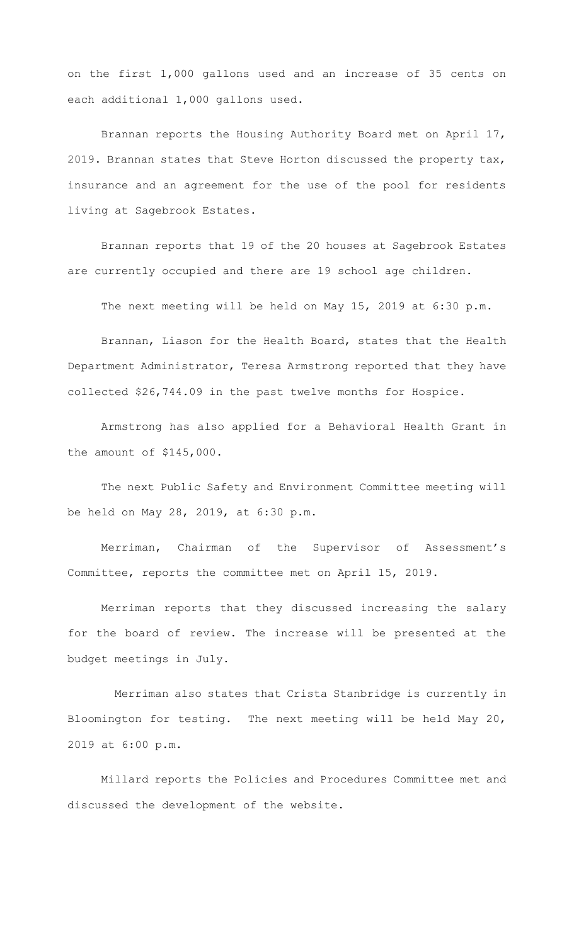on the first 1,000 gallons used and an increase of 35 cents on each additional 1,000 gallons used.

Brannan reports the Housing Authority Board met on April 17, 2019. Brannan states that Steve Horton discussed the property tax, insurance and an agreement for the use of the pool for residents living at Sagebrook Estates.

Brannan reports that 19 of the 20 houses at Sagebrook Estates are currently occupied and there are 19 school age children.

The next meeting will be held on May 15, 2019 at 6:30 p.m.

Brannan, Liason for the Health Board, states that the Health Department Administrator, Teresa Armstrong reported that they have collected \$26,744.09 in the past twelve months for Hospice.

Armstrong has also applied for a Behavioral Health Grant in the amount of \$145,000.

The next Public Safety and Environment Committee meeting will be held on May 28, 2019, at 6:30 p.m.

Merriman, Chairman of the Supervisor of Assessment's Committee, reports the committee met on April 15, 2019.

Merriman reports that they discussed increasing the salary for the board of review. The increase will be presented at the budget meetings in July.

 Merriman also states that Crista Stanbridge is currently in Bloomington for testing. The next meeting will be held May 20, 2019 at 6:00 p.m.

Millard reports the Policies and Procedures Committee met and discussed the development of the website.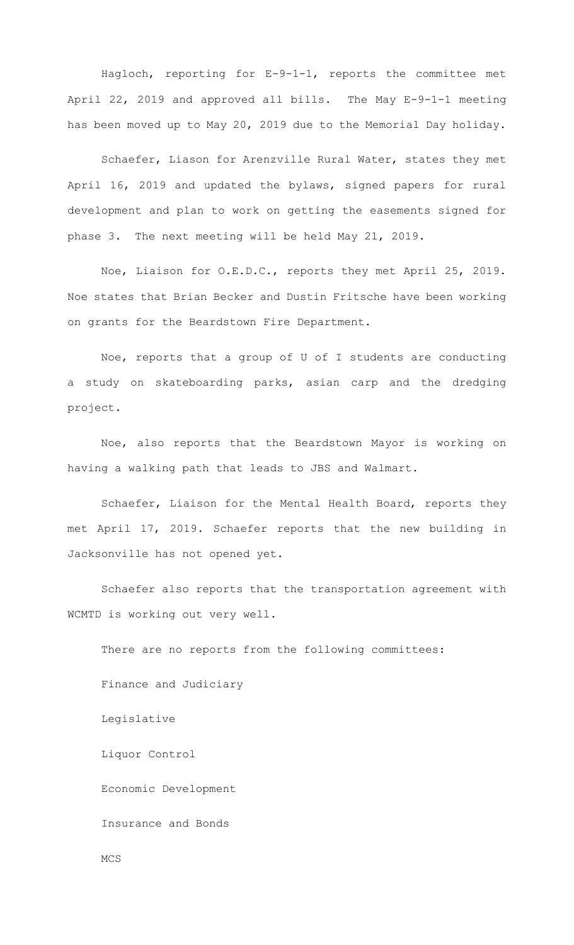Hagloch, reporting for E-9-1-1, reports the committee met April 22, 2019 and approved all bills. The May E-9-1-1 meeting has been moved up to May 20, 2019 due to the Memorial Day holiday.

Schaefer, Liason for Arenzville Rural Water, states they met April 16, 2019 and updated the bylaws, signed papers for rural development and plan to work on getting the easements signed for phase 3. The next meeting will be held May 21, 2019.

Noe, Liaison for O.E.D.C., reports they met April 25, 2019. Noe states that Brian Becker and Dustin Fritsche have been working on grants for the Beardstown Fire Department.

Noe, reports that a group of U of I students are conducting a study on skateboarding parks, asian carp and the dredging project.

Noe, also reports that the Beardstown Mayor is working on having a walking path that leads to JBS and Walmart.

Schaefer, Liaison for the Mental Health Board, reports they met April 17, 2019. Schaefer reports that the new building in Jacksonville has not opened yet.

Schaefer also reports that the transportation agreement with WCMTD is working out very well.

There are no reports from the following committees: Finance and Judiciary

Legislative

Liquor Control

Economic Development

Insurance and Bonds

MCS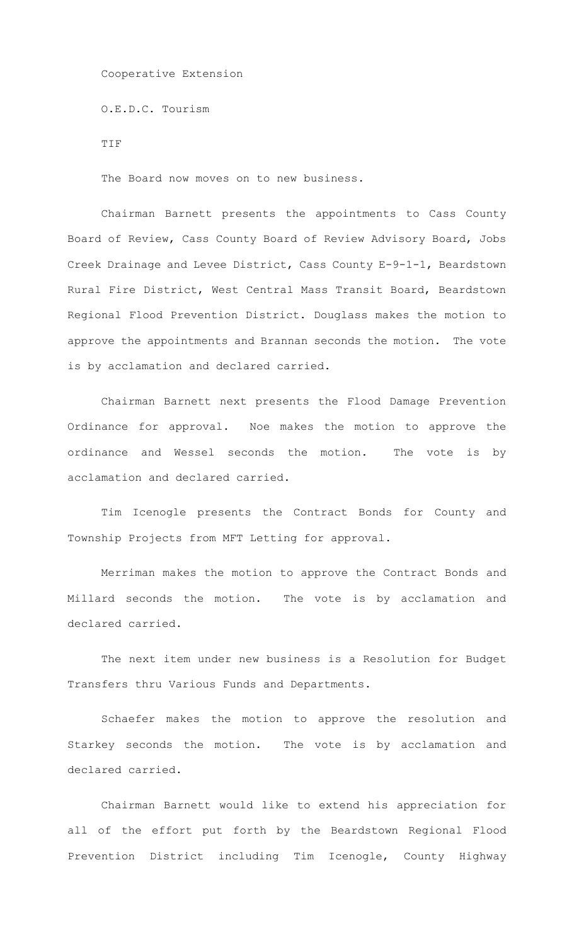Cooperative Extension

O.E.D.C. Tourism

TIF

The Board now moves on to new business.

Chairman Barnett presents the appointments to Cass County Board of Review, Cass County Board of Review Advisory Board, Jobs Creek Drainage and Levee District, Cass County E-9-1-1, Beardstown Rural Fire District, West Central Mass Transit Board, Beardstown Regional Flood Prevention District. Douglass makes the motion to approve the appointments and Brannan seconds the motion. The vote is by acclamation and declared carried.

Chairman Barnett next presents the Flood Damage Prevention Ordinance for approval. Noe makes the motion to approve the ordinance and Wessel seconds the motion. The vote is by acclamation and declared carried.

Tim Icenogle presents the Contract Bonds for County and Township Projects from MFT Letting for approval.

Merriman makes the motion to approve the Contract Bonds and Millard seconds the motion. The vote is by acclamation and declared carried.

The next item under new business is a Resolution for Budget Transfers thru Various Funds and Departments.

Schaefer makes the motion to approve the resolution and Starkey seconds the motion. The vote is by acclamation and declared carried.

Chairman Barnett would like to extend his appreciation for all of the effort put forth by the Beardstown Regional Flood Prevention District including Tim Icenogle, County Highway